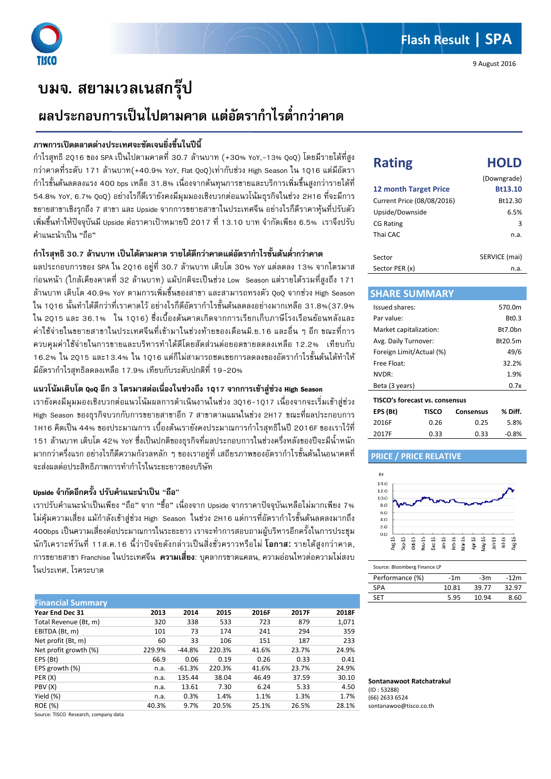# **บมจ. สยามเวลเนสกรุป**

## **ผลประกอบการเปนไปตามคาด แตอัตรากําไรต่ํากวาคาด**

## **ภาพการเปดตลาดตางประเทศจะชัดเจนยิ่งขึ้นในปนี้**

กําไรสุทธิ 2Q16 ของ SPA เปนไปตามคาดที่ 30.7 ลานบาท (+30% YoY,-13% QoQ) โดยมีรายไดที่สูง กวาคาดที่ระดับ 171 ลานบาท(+40.9% YoY, Flat QoQ)เทากับชวง High Season ใน 1Q16 แตมีอัตรา กําไรขั้นตนลดลงแรง 400 bps เหลือ 31.8% เนื่องจากตนทุนการขายและบริการเพิ่มขึ้นสูงกวารายไดที่ 54.8% YoY, 6.7% QoQ) อยางไรก็ดีเรายังคงมีมุมมองเชิงบวกตอแนวโนมธุรกิจในชวง 2H16 ที่จะมีการ ขยายสาขาเชิงรุกถึง 7 สาขา และ Upside จากการขยายสาขาในประเทศจีน อยางไรก็ดีราคาหุนที่ปรับตัว เพิ่มขึ้นทําใหปจจุบันมี Upside ตอราคาเปาหมายป 2017 ที่ 13.10 บาท จํากัดเพียง 6.5% เราจึงปรับ คําแนะนําเปน "ถือ"

## **กําไรสุทธิ 30.7 ลานบาท เปนไดตามคาด รายไดดีกวาคาดแตอัตรากําไรขั้นตนต่ํากวาคาด**

ผลประกอบการของ SPA ใน 2Q16 อยูที่ 30.7 ลานบาท เติบโต 30% YoY แตลดลง 13% จากไตรมาส กอนหนา (ใกลเคียงคาดที่ 32 ลานบาท) แมปกติจะเปนชวง Low Season แตรายไดรวมที่สูงถึง 171 ลานบาท เติบโต 40.9% YoY ตามการเพิ่มขึ้นของสาขา และสามารถทรงตัว QoQ จากชวง High Season ใน 1016 นั้นทำได้ดีกว่าที่เราคาดไว้ อย่างไรก็ดีอัตรากำไรขั้นต้นลดลงอย่างมากเหลือ 31.8%(37.9% ใน 2Q15 และ 36.1% ใน 1Q16) ซึ่งเบื้องตนคาดเกิดจากการเรียกเก็บภาษีโรงเรือนยอนหลังและ คาใชจายในขยายสาขาในประเทศจีนที่เขามาในชวงทายของเดือนมิ.ย.16 และอื่น ๆ อีก ขณะที่การ ควบคุมคาใชจายในการขายและบริหารทําไดดีโดยสัดสวนตอยอดขายลดลงเหลือ 12.2% เทียบกับ 16.2% ใน 2Q15 และ13.4% ใน 1Q16 แต่ก็ไม่สามารถชดเชยการลดลงของอัตรากำไรขั้นต้นได้ทำให้ มีอัตรากำไรสทธิลดลงเหลือ 17.9% เทียบกับระดับปกติที่ 19-20%

### **แนวโนมเติบโต QoQ อีก 3 ไตรมาสตอเนื่องในชวงถึง 1Q17 จากการเขาสูชวง High Season**

เรายังคงมีมมมองเชิงบวกต่อแนวโน้มผลการดำเนินงานในช่วง 3016-1017 เนื่องจากจะเริ่มเข้าส่ช่วง High Season ของธุรกิจบวกกับการขยายสาขาอีก 7 สาขาตามแผนในชวง 2H17 ขณะที่ผลประกอบการ 1H16 คิดเป็น 44% ของประมาณการ เบื้องต้นเรายังคงประมาณการกำไรสุทธิในปี 2016F ของเราไว้ที่ ี 151 ล้านบาท เติบโต 42% YoY ซึ่งเป็นปกติของธุรกิจที่ผลประกอบการในช่วงครึ่งหลังของปีจะมีน้ำหนัก มากกวาครึ่งแรก อยางไรก็ดีความกังวลหลัก ๆ ของเราอยูที่ เสถียรภาพของอัตรากําไรขั้นตนในอนาคตที่ จะสงผลตอประสิทธิภาพการทํากําไรในระยะยาวของบริษัท

## **Upside จํากัดอีกครั้ง ปรับคําแนะนําเปน** "**ถือ**"

เราปรับคําแนะนําเปนเพียง "ถือ" จาก "ซื้อ" เนื่องจาก Upside จากราคาปจจุบันเหลือไมมากเพียง 7% ไม่คุ้มความเสี่ยง แม้กำลังเข้าสู่ช่วง High Season ในช่วง 2H16 แต่การที่อัตรากำไรขั้นต้นลดลงมากถึง 400bps เปนความเสี่ยงตอประมาณการในระยะยาว เราจะทําการสอบถามผูบริหารอีกครั้งในการประชุม นักวิเคราะหวันที่ 11ส.ค.16 นี้วาปจจัยดังกลาวเปนสิ่งชั่วคราวหรือไม **โอกาส**: รายไดสูงกวาคาด, การขยายสาขา Franchise ในประเทศจีน **ความเสี่ยง**: บุคลากรขาดแคลน, ความออนไหวตอความไมสงบ ในประเทศ, โรคระบาด

| <b>Financial Summary</b> |        |          |        |       |       |       |
|--------------------------|--------|----------|--------|-------|-------|-------|
| <b>Year End Dec 31</b>   | 2013   | 2014     | 2015   | 2016F | 2017F | 2018F |
| Total Revenue (Bt, m)    | 320    | 338      | 533    | 723   | 879   | 1,071 |
| EBITDA (Bt, m)           | 101    | 73       | 174    | 241   | 294   | 359   |
| Net profit (Bt, m)       | 60     | 33       | 106    | 151   | 187   | 233   |
| Net profit growth (%)    | 229.9% | $-44.8%$ | 220.3% | 41.6% | 23.7% | 24.9% |
| EPS (Bt)                 | 66.9   | 0.06     | 0.19   | 0.26  | 0.33  | 0.41  |
| EPS growth (%)           | n.a.   | $-61.3%$ | 220.3% | 41.6% | 23.7% | 24.9% |
| PER (X)                  | n.a.   | 135.44   | 38.04  | 46.49 | 37.59 | 30.10 |
| PBV(X)                   | n.a.   | 13.61    | 7.30   | 6.24  | 5.33  | 4.50  |
| Yield (%)                | n.a.   | 0.3%     | 1.4%   | 1.1%  | 1.3%  | 1.7%  |
| <b>ROE (%)</b>           | 40.3%  | 9.7%     | 20.5%  | 25.1% | 26.5% | 28.1% |

Source: TISCO Research, company data

| <b>Rating</b>                | <b>HOLD</b>   |
|------------------------------|---------------|
|                              | (Downgrade)   |
| <b>12 month Target Price</b> | Bt13.10       |
| Current Price (08/08/2016)   | Bt12.30       |
| Upside/Downside              | 6.5%          |
| <b>CG Rating</b>             | з             |
| Thai CAC                     | n.a.          |
|                              |               |
| Sector                       | SERVICE (mai) |

| <b>JECLUI</b>  | $J$ $L$ $N$ $V$ $L$ $L$ $N$ $N$ $N$ |
|----------------|-------------------------------------|
| Sector PER (x) | n.a.                                |
|                |                                     |

#### **SHARE SUMMARY**

| Issued shares:                 |       |           | 570.0m             |
|--------------------------------|-------|-----------|--------------------|
| Par value:                     |       |           | B <sub>t</sub> 0.3 |
| Market capitalization:         |       |           | Bt7.0hn            |
| Avg. Daily Turnover:           |       |           | Bt20.5m            |
| Foreign Limit/Actual (%)       |       |           | 49/6               |
| Free Float:                    |       |           | 32.2%              |
| NVDR:                          |       |           | 1.9%               |
| Beta (3 years)                 |       |           | 0.7x               |
| TISCO's forecast vs. consensus |       |           |                    |
| EPS (Bt)                       | TISCO | Consensus | % Diff.            |

| EPS (BU) | 115CO | Consensus | % Diff. |
|----------|-------|-----------|---------|
| 2016F    | 0.26  | 0.25      | 5.8%    |
| 2017F    | 0.33  | 0.33      | $-0.8%$ |
|          |       |           |         |

### **PRICE / PRICE RELATIVE**



#### Source: Bloomberg Finance LP

| Performance (%) | -1m   | -3m   | $-12m$ |
|-----------------|-------|-------|--------|
| <b>SPA</b>      | 10.81 | 39.77 | 32.97  |
| SFT             | 5.95  | 10.94 | 8.60   |

**Sontanawoot Ratchatrakul** (ID : 53288) (66) 2633 6524 sontanawoo@tisco.co.th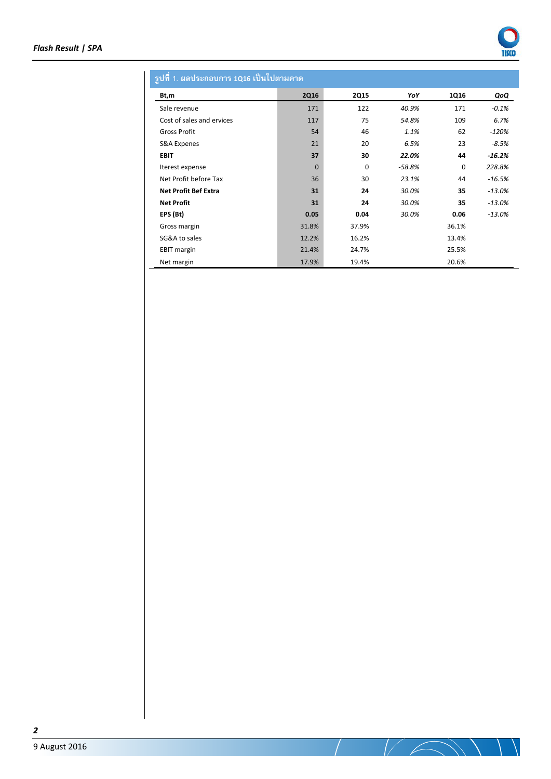

## **รูปที่1. ผลประกอบการ 1Q16 เปนไปตามคาด**

| Bt,m                        | <b>2Q16</b>  | <b>2Q15</b> | YoY      | 1Q16        | QoQ       |
|-----------------------------|--------------|-------------|----------|-------------|-----------|
| Sale revenue                | 171          | 122         | 40.9%    | 171         | $-0.1%$   |
| Cost of sales and ervices   | 117          | 75          | 54.8%    | 109         | 6.7%      |
| <b>Gross Profit</b>         | 54           | 46          | 1.1%     | 62          | $-120%$   |
| S&A Expenes                 | 21           | 20          | 6.5%     | 23          | $-8.5%$   |
| <b>EBIT</b>                 | 37           | 30          | 22.0%    | 44          | $-16.2%$  |
| Iterest expense             | $\mathbf{0}$ | 0           | $-58.8%$ | $\mathbf 0$ | 228.8%    |
| Net Profit before Tax       | 36           | 30          | 23.1%    | 44          | $-16.5%$  |
| <b>Net Profit Bef Extra</b> | 31           | 24          | 30.0%    | 35          | $-13.0\%$ |
| <b>Net Profit</b>           | 31           | 24          | 30.0%    | 35          | $-13.0%$  |
| EPS (Bt)                    | 0.05         | 0.04        | 30.0%    | 0.06        | $-13.0%$  |
| Gross margin                | 31.8%        | 37.9%       |          | 36.1%       |           |
| SG&A to sales               | 12.2%        | 16.2%       |          | 13.4%       |           |
| <b>EBIT</b> margin          | 21.4%        | 24.7%       |          | 25.5%       |           |
| Net margin                  | 17.9%        | 19.4%       |          | 20.6%       |           |